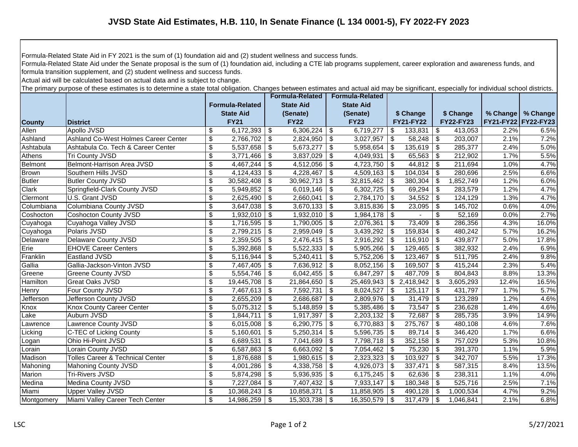Formula-Related State Aid in FY 2021 is the sum of (1) foundation aid and (2) student wellness and success funds.

Formula-Related State Aid under the Senate proposal is the sum of (1) foundation aid, including a CTE lab programs supplement, career exploration and awareness funds, and formula transition supplement, and (2) student wellness and success funds.

Actual aid will be calculated based on actual data and is subject to change.

The primary purpose of these estimates is to determine a state total obligation. Changes between estimates and actual aid may be significant, especially for individual school districts.

|               |                                             |                          |                        |      | <b>Formula-Related</b> |      | <b>Formula-Related</b> |      |                  |                           |                  |                     |          |
|---------------|---------------------------------------------|--------------------------|------------------------|------|------------------------|------|------------------------|------|------------------|---------------------------|------------------|---------------------|----------|
|               |                                             |                          | <b>Formula-Related</b> |      | <b>State Aid</b>       |      | <b>State Aid</b>       |      |                  |                           |                  |                     |          |
|               |                                             |                          | <b>State Aid</b>       |      | (Senate)               |      | (Senate)               |      | \$ Change        |                           | \$ Change        | % Change            | % Change |
| <b>County</b> | <b>District</b>                             |                          | <b>FY21</b>            |      | <b>FY22</b>            |      | <b>FY23</b>            |      | <b>FY21-FY22</b> |                           | <b>FY22-FY23</b> | FY21-FY22 FY22-FY23 |          |
| Allen         | Apollo JVSD                                 | \$                       | 6,172,393              | -\$  | 6,306,224              | \$   | 6,719,277              | \$   | 133,831          | \$                        | 413,053          | 2.2%                | 6.5%     |
| Ashland       | Ashland Co-West Holmes Career Center        | \$                       | 2,766,702              | -\$  | 2,824,950              | \$   | 3,027,957              | \$   | 58,248           | \$                        | 203,007          | 2.1%                | 7.2%     |
| Ashtabula     | Ashtabula Co. Tech & Career Center          | \$                       | 5,537,658              | \$   | 5,673,277              | \$   | 5,958,654              | -\$  | 135,619          | \$                        | 285,377          | 2.4%                | 5.0%     |
| Athens        | Tri County JVSD                             | \$                       | 3,771,466              | -\$  | 3,837,029              | \$   | 4,049,931              | \$   | 65,563           | \$                        | 212,902          | 1.7%                | 5.5%     |
| Belmont       | Belmont-Harrison Area JVSD                  | \$                       | 4,467,244              | \$   | 4,512,056              | \$   | 4,723,750              | \$   | 44,812           | \$                        | 211,694          | 1.0%                | 4.7%     |
| <b>Brown</b>  | Southern Hills JVSD                         | $\overline{\mathcal{S}}$ | 4,124,433              | \$   | 4,228,467              | \$   | 4,509,163              | -\$  | 104,034          | \$                        | 280,696          | 2.5%                | 6.6%     |
| <b>Butler</b> | <b>Butler County JVSD</b>                   | \$                       | 30,582,408             | -\$  | 30,962,713             | \$   | 32,815,462             | - \$ | 380,304          | \$                        | 1,852,749        | 1.2%                | 6.0%     |
| Clark         | Springfield-Clark County JVSD               | \$                       | 5,949,852              | -\$  | 6,019,146              | \$   | 6,302,725              | -\$  | 69,294           | \$                        | 283,579          | 1.2%                | 4.7%     |
| Clermont      | U.S. Grant JVSD                             | $\overline{\mathbf{S}}$  | $2,625,490$ \$         |      | 2,660,041              | -\$  | $2,784,170$ \$         |      | 34,552           | \$                        | 124,129          | 1.3%                | 4.7%     |
| Columbiana    | Columbiana County JVSD                      | \$                       | 3,647,038              | -\$  | 3,670,133              | -\$  | 3,815,836              | - \$ | 23,095           | - \$                      | 145,702          | 0.6%                | 4.0%     |
| Coshocton     | <b>Coshocton County JVSD</b>                | \$                       | 1,932,010              | -\$  | 1,932,010              | -\$  | 1,984,178              | -\$  |                  | \$                        | 52,169           | 0.0%                | 2.7%     |
| Cuyahoga      | Cuyahoga Valley JVSD                        | \$                       | 1,716,595              | -\$  | 1,790,005              | \$   | 2,076,361              | \$   | 73,409           | $\boldsymbol{\mathsf{S}}$ | 286,356          | 4.3%                | 16.0%    |
| Cuyahoga      | Polaris JVSD                                | \$                       | 2,799,215              | -\$  | 2,959,049              | \$   | 3,439,292              | -\$  | 159,834          | \$                        | 480,242          | 5.7%                | 16.2%    |
| Delaware      | Delaware County JVSD                        | \$                       | 2,359,505              | \$   | 2,476,415              | \$   | 2,916,292              | -\$  | 116,910          | -\$                       | 439,877          | 5.0%                | 17.8%    |
| Erie          | <b>EHOVE Career Centers</b>                 | $\overline{\mathcal{L}}$ | 5,392,868              | \$   | 5,522,333              | \$   | 5,905,266              | - \$ | 129,465          | \$                        | 382,932          | 2.4%                | 6.9%     |
| Franklin      | Eastland JVSD                               | \$                       | 5,116,944              | \$   | 5,240,411              | \$   | 5,752,206              | -\$  | 123,467          | \$                        | 511,795          | 2.4%                | 9.8%     |
| Gallia        | Gallia-Jackson-Vinton JVSD                  | \$                       | 7,467,405              | \$   | 7,636,912              | \$   | 8,052,156              | -\$  | 169,507          | \$                        | 415,244          | 2.3%                | 5.4%     |
| Greene        | Greene County JVSD                          | $\overline{\mathbf{3}}$  | 5,554,746              | -\$  | 6,042,455              | \$   | 6,847,297              | -\$  | 487,709          | -\$                       | 804,843          | 8.8%                | 13.3%    |
| Hamilton      | Great Oaks JVSD                             | \$                       | 19,445,708             | - \$ | 21,864,650             | \$   | 25,469,943             | \$   | 2,418,942        | -\$                       | 3,605,293        | 12.4%               | 16.5%    |
| Henry         | Four County JVSD                            | \$                       | 7,467,613              | -\$  | 7,592,731              | \$   | 8,024,527              | -\$  | $125,117$ \$     |                           | 431,797          | 1.7%                | 5.7%     |
| Jefferson     | Jefferson County JVSD                       | \$                       | 2,655,209              | -\$  | 2,686,687              | \$   | 2,809,976              | -\$  | $31,479$ \$      |                           | 123,289          | 1.2%                | 4.6%     |
| Knox          | <b>Knox County Career Center</b>            | \$                       | 5,075,312              | -\$  | 5,148,859              | \$   | $5,385,486$ \$         |      | 73,547           | -\$                       | 236,628          | 1.4%                | 4.6%     |
| Lake          | Auburn JVSD                                 | $\overline{\mathbf{3}}$  | 1,844,711              | -\$  | 1,917,397              | \$   | $2,203,132$ \$         |      | 72,687           | \$                        | 285,735          | 3.9%                | 14.9%    |
| Lawrence      | Lawrence County JVSD                        | $\overline{\mathcal{S}}$ | $6,015,008$ \$         |      | 6,290,775              | \$   | 6,770,883   \$         |      | 275,767          | -\$                       | 480,108          | 4.6%                | 7.6%     |
| Licking       | C-TEC of Licking County                     | \$                       | 5,160,601              | -\$  | 5,250,314              | \$   | 5,596,735              | - \$ | 89,714           | -\$                       | 346,420          | 1.7%                | 6.6%     |
| Logan         | Ohio Hi-Point JVSD                          | \$                       | 6,689,531              | -\$  | 7,041,689              | \$   | 7,798,718              | -\$  | 352,158          | - \$                      | 757,029          | 5.3%                | 10.8%    |
| Lorain        | Lorain County JVSD                          | $\overline{\mathcal{S}}$ | 6,587,863              | -\$  | 6,663,092              | \$   | $7,054,462$ \$         |      | 75,230           | - \$                      | 391,370          | 1.1%                | 5.9%     |
| Madison       | <b>Tolles Career &amp; Technical Center</b> | \$                       |                        |      | $\overline{1,}980,615$ | -\$  | 2,323,323              | - \$ | 103,927          | -\$                       | 342,707          | 5.5%                | 17.3%    |
| Mahoning      | Mahoning County JVSD                        | \$                       | $4,001,286$ \ \$       |      | 4,338,758              | \$   | $4,926,073$ \$         |      | 337,471          | - \$                      | 587,315          | 8.4%                | 13.5%    |
| Marion        | <b>Tri-Rivers JVSD</b>                      | \$                       | 5,874,298              | -\$  | 5,936,935              | - \$ | 6,175,245   \$         |      | 62,636           | - \$                      | 238,311          | 1.1%                | 4.0%     |
| Medina        | Medina County JVSD                          | \$                       | $7,227,084$   \$       |      | 7,407,432              | - \$ | $7,933,147$ \\$        |      |                  |                           | 525,716          | 2.5%                | 7.1%     |
| Miami         | <b>Upper Valley JVSD</b>                    | \$                       | $10,368,243$   \$      |      | 10,858,371             | - \$ | $11,858,905$ \ \$      |      | 490,128          | -\$                       | 1,000,534        | 4.7%                | 9.2%     |
| Montgomery    | Miami Valley Career Tech Center             | $\overline{\mathcal{S}}$ | $14,986,259$ \$        |      | 15,303,738             | -\$  | $16,350,579$ \$        |      | 317,479          | \$                        | 1,046,841        | 2.1%                | 6.8%     |